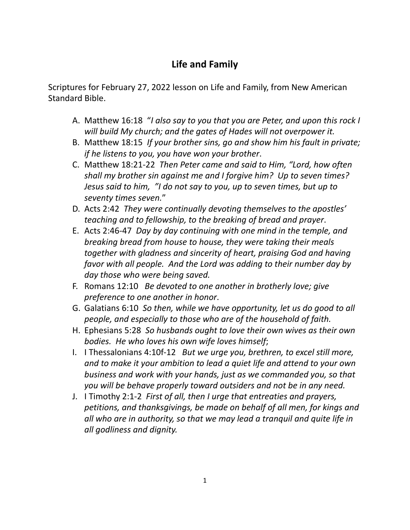## **Life and Family**

Scriptures for February 27, 2022 lesson on Life and Family, from New American Standard Bible.

- A. Matthew 16:18 "*I also say to you that you are Peter, and upon this rock I will build My church; and the gates of Hades will not overpower it.*
- B. Matthew 18:15 *If your brother sins, go and show him his fault in private; if he listens to you, you have won your brother*.
- C. Matthew 18:21-22 *Then Peter came and said to Him, "Lord, how often shall my brother sin against me and I forgive him? Up to seven times? Jesus said to him, "I do not say to you, up to seven times, but up to seventy times seven.*"
- D. Acts 2:42 *They were continually devoting themselves to the apostles' teaching and to fellowship, to the breaking of bread and prayer*.
- E. Acts 2:46-47 *Day by day continuing with one mind in the temple, and breaking bread from house to house, they were taking their meals together with gladness and sincerity of heart, praising God and having favor with all people. And the Lord was adding to their number day by day those who were being saved.*
- F. Romans 12:10 *Be devoted to one another in brotherly love; give preference to one another in honor*.
- G. Galatians 6:10 *So then, while we have opportunity, let us do good to all people, and especially to those who are of the household of faith.*
- H. Ephesians 5:28 *So husbands ought to love their own wives as their own bodies. He who loves his own wife loves himself*;
- I. I Thessalonians 4:10f-12 *But we urge you, brethren, to excel still more, and to make it your ambition to lead a quiet life and attend to your own business and work with your hands, just as we commanded you, so that you will be behave properly toward outsiders and not be in any need.*
- J. I Timothy 2:1-2 *First of all, then I urge that entreaties and prayers, petitions, and thanksgivings, be made on behalf of all men, for kings and all who are in authority, so that we may lead a tranquil and quite life in all godliness and dignity.*